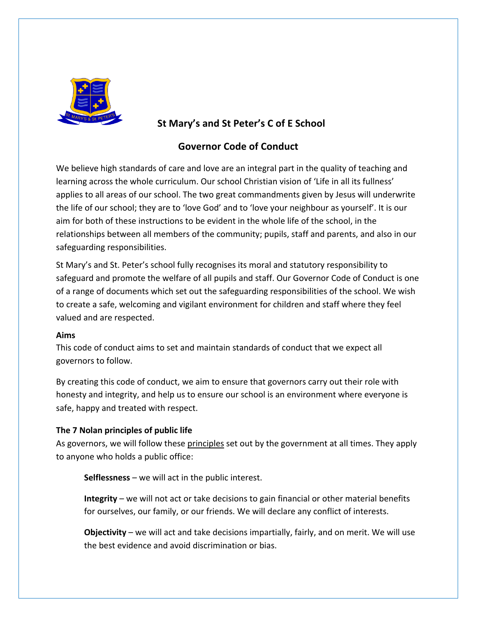

# **St Mary's and St Peter's C of E School**

# **Governor Code of Conduct**

We believe high standards of care and love are an integral part in the quality of teaching and learning across the whole curriculum. Our school Christian vision of 'Life in all its fullness' applies to all areas of our school. The two great commandments given by Jesus will underwrite the life of our school; they are to 'love God' and to 'love your neighbour as yourself'. It is our aim for both of these instructions to be evident in the whole life of the school, in the relationships between all members of the community; pupils, staff and parents, and also in our safeguarding responsibilities.

St Mary's and St. Peter's school fully recognises its moral and statutory responsibility to safeguard and promote the welfare of all pupils and staff. Our Governor Code of Conduct is one of a range of documents which set out the safeguarding responsibilities of the school. We wish to create a safe, welcoming and vigilant environment for children and staff where they feel valued and are respected.

#### **Aims**

This code of conduct aims to set and maintain standards of conduct that we expect all governors to follow.

By creating this code of conduct, we aim to ensure that governors carry out their role with honesty and integrity, and help us to ensure our school is an environment where everyone is safe, happy and treated with respect.

#### **The 7 Nolan principles of public life**

As governors, we will follow these principles set out by the government at all times. They apply to anyone who holds a public office:

**Selflessness** – we will act in the public interest.

**Integrity** – we will not act or take decisions to gain financial or other material benefits for ourselves, our family, or our friends. We will declare any conflict of interests.

**Objectivity** – we will act and take decisions impartially, fairly, and on merit. We will use the best evidence and avoid discrimination or bias.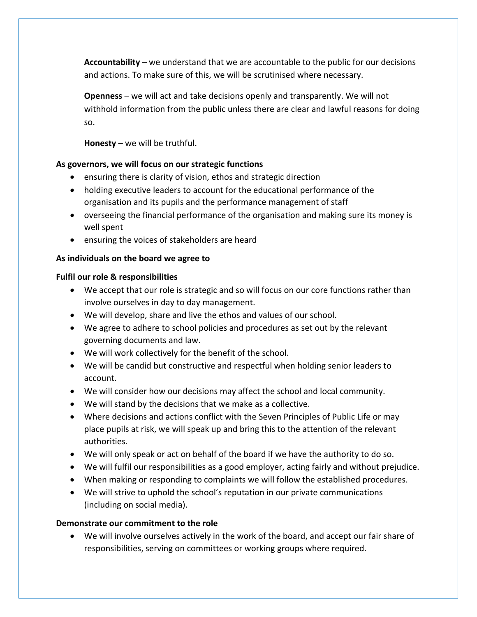**Accountability** – we understand that we are accountable to the public for our decisions and actions. To make sure of this, we will be scrutinised where necessary.

**Openness** – we will act and take decisions openly and transparently. We will not withhold information from the public unless there are clear and lawful reasons for doing so.

**Honesty** – we will be truthful.

# **As governors, we will focus on our strategic functions**

- ensuring there is clarity of vision, ethos and strategic direction
- holding executive leaders to account for the educational performance of the organisation and its pupils and the performance management of staff
- overseeing the financial performance of the organisation and making sure its money is well spent
- ensuring the voices of stakeholders are heard

#### **As individuals on the board we agree to**

#### **Fulfil our role & responsibilities**

- We accept that our role is strategic and so will focus on our core functions rather than involve ourselves in day to day management.
- We will develop, share and live the ethos and values of our school.
- We agree to adhere to school policies and procedures as set out by the relevant governing documents and law.
- We will work collectively for the benefit of the school.
- We will be candid but constructive and respectful when holding senior leaders to account.
- We will consider how our decisions may affect the school and local community.
- We will stand by the decisions that we make as a collective.
- Where decisions and actions conflict with the Seven Principles of Public Life or may place pupils at risk, we will speak up and bring this to the attention of the relevant authorities.
- We will only speak or act on behalf of the board if we have the authority to do so.
- We will fulfil our responsibilities as a good employer, acting fairly and without prejudice.
- When making or responding to complaints we will follow the established procedures.
- We will strive to uphold the school's reputation in our private communications (including on social media).

# **Demonstrate our commitment to the role**

• We will involve ourselves actively in the work of the board, and accept our fair share of responsibilities, serving on committees or working groups where required.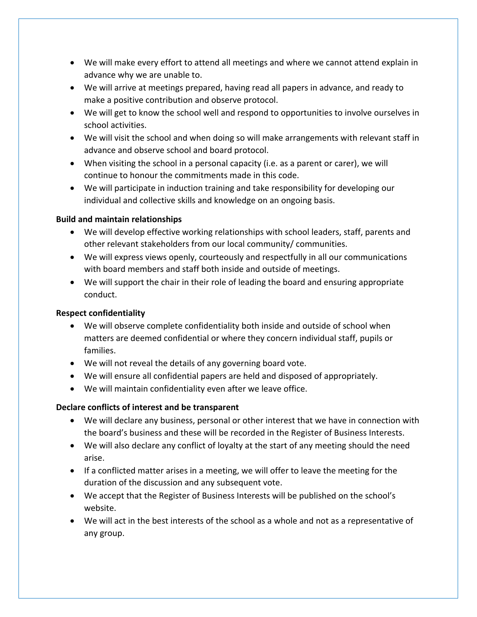- We will make every effort to attend all meetings and where we cannot attend explain in advance why we are unable to.
- We will arrive at meetings prepared, having read all papers in advance, and ready to make a positive contribution and observe protocol.
- We will get to know the school well and respond to opportunities to involve ourselves in school activities.
- We will visit the school and when doing so will make arrangements with relevant staff in advance and observe school and board protocol.
- When visiting the school in a personal capacity (i.e. as a parent or carer), we will continue to honour the commitments made in this code.
- We will participate in induction training and take responsibility for developing our individual and collective skills and knowledge on an ongoing basis.

#### **Build and maintain relationships**

- We will develop effective working relationships with school leaders, staff, parents and other relevant stakeholders from our local community/ communities.
- We will express views openly, courteously and respectfully in all our communications with board members and staff both inside and outside of meetings.
- We will support the chair in their role of leading the board and ensuring appropriate conduct.

### **Respect confidentiality**

- We will observe complete confidentiality both inside and outside of school when matters are deemed confidential or where they concern individual staff, pupils or families.
- We will not reveal the details of any governing board vote.
- We will ensure all confidential papers are held and disposed of appropriately.
- We will maintain confidentiality even after we leave office.

# **Declare conflicts of interest and be transparent**

- We will declare any business, personal or other interest that we have in connection with the board's business and these will be recorded in the Register of Business Interests.
- We will also declare any conflict of loyalty at the start of any meeting should the need arise.
- If a conflicted matter arises in a meeting, we will offer to leave the meeting for the duration of the discussion and any subsequent vote.
- We accept that the Register of Business Interests will be published on the school's website.
- We will act in the best interests of the school as a whole and not as a representative of any group.